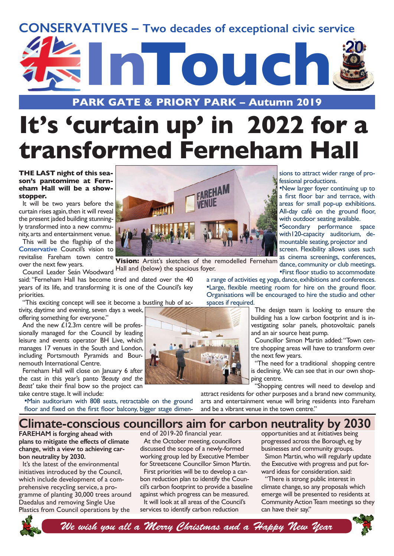



**PARK GATE & PRIORY PARK – Autumn 2019**

# **It's 'curtain up' in 2022 for a transformed Ferneham Hall**

#### **THE LAST night of this season's pantomime at Ferneham Hall will be a showstopper.**

It will be two years before the curtain rises again, then it will reveal the present jaded building stunningly transformed into a new community, arts and entertainment venue.

This will be the flagship of the **Conservative** Council's vision to revitalise Fareham town centre over the next few years.

ver the next lew years.<br>Council Leader Seán Woodward Hall and (below) the spacious foyer. said: "Ferneham Hall has become tired and dated over the 40 years of its life, and transforming it is one of the Council's key priorities.

"This exciting concept will see it become a bustling hub of activity, daytime and evening, seven days a week,

offering something for everyone."

And the new £12.3m centre will be professionally managed for the Council by leading leisure and events operator BH Live, which manages 17 venues in the South and London, including Portsmouth Pyramids and Bournemouth International Centre.

Ferneham Hall will close on January 6 after the cast in this year's panto *'Beauty and the Beast'* take their final bow so the project can take centre stage. It will include:

•Main auditorium with 808 seats, retractable on the ground floor and fixed on the first floor balcony, bigger stage dimen-



**Vision:** Artist's sketches of the remodelled Ferneham as cinema screenings, conterences,

a range of activities eg yoga, dance, exhibitions and conferences. •Large, flexible meeting room for hire on the ground floor. Organisations will be encouraged to hire the studio and other spaces if required.

> The design team is looking to ensure the building has a low carbon footprint and is investigating solar panels, photovoltaic panels and an air source heat pump.

sions to attract wider range of pro-

•New larger foyer continuing up to a first floor bar and terrace, with areas for small pop-up exhibitions. All-day café on the ground floor, with outdoor seating available. •Secondary performance space with 120-capacity auditorium, demountable seating, projector and screen. Flexibility allows uses such as cinema screenings, conferences,

•First floor studio to accommodate

fessional productions.

Councillor Simon Martin added: "Town centre shopping areas will have to transform over the next few years.

"The need for a traditional shopping centre is declining. We can see that in our own shopping centre.

"Shopping centres will need to develop and

attract residents for other purposes and a brand new community, arts and entertainment venue will bring residents into Fareham and be a vibrant venue in the town centre."

## **Climate-conscious councillors aim for carbon neutrality by 2030**

**FAREHAM is forging ahead with plans to mitigate the effects of climate change, with a view to achieving carbon neutrality by 2030.**

It's the latest of the environmental initiatives introduced by the Council, which include development of a comprehensive recycling service, a programme of planting 30,000 trees around Daedalus and removing Single Use Plastics from Council operations by the

end of 2019-20 financial year.

At the October meeting, councillors discussed the scope of a newly-formed working group led by Executive Member for Streetscene Councillor Simon Martin.

First priorities will be to develop a carbon reduction plan to identify the Council's carbon footprint to provide a baseline against which progress can be measured. It will look at all areas of the Council's

services to identify carbon reduction

opportunities and at initiatives being progressed across the Borough, eg by businesses and community groups.

Simon Martin, who will regularly update the Executive with progress and put forward ideas for consideration. said:

"There is strong public interest in climate change, so any proposals which emerge will be presented to residents at Community Action Team meetings so they can have their say."



*We wish you all a Merry Christmas and a Happy New Year*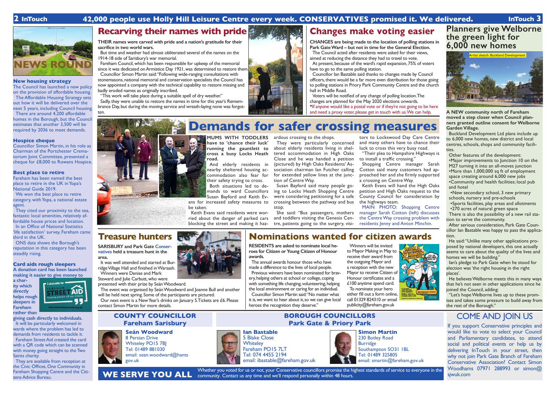#### **New housing strategy**

The Council has launched a new policy on the provision of affordable housing. The Affordable Housing Strategy sets out how it will be delivered over the next 5 years, including Council housing. There are around 4,200 affordable homes in the Borough, but the Council estimates that another 3,500 will be required by 2036 to meet demands.

We won the best place to retire category, with Yopa, a national estate agent.

#### **Hospice cheque**

Councillor Simon Martin, in his role as Chairman of the Portchester Crematorium Joint Committee, presented a cheque for £8,000 to Rowans Hospice.

#### **Best place to retire**

Fareham has been named the best place to retire in the UK in Yopa's National Guide 2019.

They cited our proximity to the sea, fantastic local amenities, relatively affordable house prices and location. In an Office of National Statistics 'life satisfaction' survey, Fareham came third in the UK.

ONS data shows the Borough's reputation in this category has been steadily rising.

#### **Card aids rough sleepers A donation card has been launched making it easier to give money to**

**a charity which directly helps rough sleepers in Fareham rather than** 



**Ian Bastable** 5 Blake Close **Whiteley** 

Fareham PO15 7LT Tel: 074 4455 2194

**giving cash directly to individuals.**  It will be particularly welcomed in wards where the problem has led to demands from residents to tackle it. Fareham Street Aid created the card with a QR code which can be scanned with money going straight to the Two Saints charity.

They are available from reception at the Civic Offices, One Community in Fareham Shopping Centre and the Citizens Advice Bureau.

Whether you voted for us or not, your Conservative councillors promise the highest standards of service to everyone in the community. Contact us any time and we'll respond personally within 48 hours.

#### **Seán Woodward**

8 Persian Drive Whiteley PO15 7BJ Tel: 01489 881030 email: sean.woodward@hants gov.uk



#### **COUNTY COUNCILLOR Fareham Sarisbury**

#### **BOROUGH COUNCILLORS Park Gate & Priory Park** COME AND JOIN US

If you support Conservative principles and would like to vote to select your Council and Parliamentary candidates, to attend social and political events or help us by delivering InTouch in your street, then why not join Park Gate Branch of Fareham Conservative Association? Contact Simon Woodhams 07971 288993 or simon@ sjwuk.com

brance Day, but during the moving service and wreath-laying none was forgotten.



email: ibastable@fareham.gov.uk

**WE SERVE YOU ALL**

## **2 InTouch 42,000 people use Holly Hill Leisure Centre every week. CONSERVATIVES promised it. We delivered. InTouch 3**



## **Treasure hunters**

**SARISBURY and Park Gate Conservatives held a treasure hunt in the area.** 

It was well attended and started at Burridge Village Hall and finished in Warsash. Winners were Denise and Mark

Steward and Julie Carbutt, who were presented with their prize by Seán Woodward.

The event was organised by Seán Woodward and Joanne Bull and another will be held next spring. Some of the participants are pictured.

Our next event is a New Year's drinks on January 5.Tickets are £6. Please contact Simon Martin for more details.

**Nominations wanted for citizen awards**

**RESIDENTS are asked to nominate local heroes for Citizen or Young Citizen of Honour awards.**

The annual awards honour those who have made a difference to the lives of local people. Previous winners have been nominated for bravery, helping others at school or college, coping with something life changing, volunteering, helping the local environment or caring for an individual. Councillor Simon Martin said: "No matter what it is, we want to hear about it, so we can give local

heroes the recognition they deserve."

Winners will be invited to Mayor Making in May to receive their award from the outgoing Mayor and a reception with the new Mayor to receive Citizen of Honour certificates and a £100 anytime spend card. To nominate your hero either fill out a form online,

call 01329 824310 or email

publicity@fareham.gov.uk

**THEIR names were carved with pride and a nation's gratitude for their sacrifice in two world wars.**

But time and weather had almost obliterated several of the names on the 1914-18 side of Sarisbury's war memorial.

Fareham Council, which has been responsible for upkeep of the memorial since it was dedicated on Armistice Day 1921, was determined to restore them. Councillor Simon Martin said: "Following wide-ranging consultations with stonemasons, national memorial and conservation specialists the Council has now appointed a company with the technical capability to restore missing and

badly eroded names as originally inscribed. "This work will take place during a suitable spell of dry weather."

Sadly, they were unable to restore the names in time for this year's Remem-

# **Recarving their names with pride Changes make voting easier**

**CHANGES are being made to the location of polling stations in Park Gate Ward – but not in time for the General Election.** The Council acted after residents were asked for their views, aimed at reducing the distance they had to travel to vote. At present, because of the ward's rapid expansion, 75% of voters

have to go to the same polling station.

Councillor Ian Bastable said thanks to changes made by Council officers, there would be a far more even distribution for those going to polling stations in Priory Park Community Centre and the church hall in Middle Road.

Voters will be notified of any change of polling location. The changes are planned for the May 2020 elections onwards. •If anyone would like a postal vote or if they're not going to be here and need a proxy voter, please get in touch with us. We can help.



# **Simon Martin**

230 Botley Road Burridge Southampton SO31 1BL Tel: 01489 325805 email: smartin@fareham.gov.uk **Planners give Welborne the green light for 6,000 new homes**

**A NEW community north of Fareham moved a step closer when Council planners granted outline consent for Welborne Garden Village.**

Buckland Development Ltd plans include up to 6,000 new homes, new district and local centres, schools, shops and community facilities.

Other features of the development: •Major improvements to Junction 10 on the M27 turning it into an all-moves junction •More than 1,000,000 sq ft of employment space creating around 6,000 new jobs •Community and health facilities; local pub and hotel

·•New secondary school, 3 new primary schools, nursery and pre-schools

·•Sports facilities, play areas and allotments •270 acres of natural green space

There is also the possibility of a new rail station to serve the community.

After serious consideration, Park Gate Councillor Ian Bastable was happy to pass the application.

He said: "Unlike many other applications proposed by national developers, this one actually seems to care about the quality of the lives and homes we will be building."

Ian's pledge to Park Gate when he stood for election was 'the right housing in the right places'.

He believes Welborne meets this in many ways that he's not seen in other applications since he joined the Council, adding:

"Let's hope Welborne lives up to these promises and takes some pressure to build away from the rest of the Borough."







**MUMS WITH TODDLERS**  ardous crossing to the shops. **have to 'chance their luck' running the gauntlett to cross a busy Locks Heath road.**

And elderly residents in nearby sheltered housing accommodation also fear for their safety trying to cross.

Both situations led to demands to ward Councillors Susan Bayford and Keith Ev-

ans for increased safety measures to be taken.

Keith Evans said residents were worried about the danger of parked cars blocking the street and making it haz-

They were particularly concerned about elderly residents living in sheltered accommodation in High Oaks Close and he was handed a petition (pictured) by High Oaks Residents' Association chairman Ian Futcher calling for extended yellow lines at the junction of Centre Way.

Susan Bayford said many people going to Locks Heath Shopping Centre were considering petitioning for a safe crossing between the pathway and bus stop.

She said: "Bus passengers, mothers and toddlers visiting the Genesis Centre, patients going to the surgery, visi-

tors to Lockswood Day Care Centre and many others have to chance their luck to cross this very busy road.

"Their plea to Hampshire Highways is to install a traffic crossing." Shopping Centre manager Sarah Cotton said many customers had approached her and she firmly supported a crossing on Centre Way.

Keith Evans will hand the High Oaks petition and High Oaks request to the County Council for consideration by the highways team.

MAIN PHOTO: Shopping Centre manager Sarah Cotton (left) discusses the Centre Way crossing problem with residents Jenny and Anton Minchin.